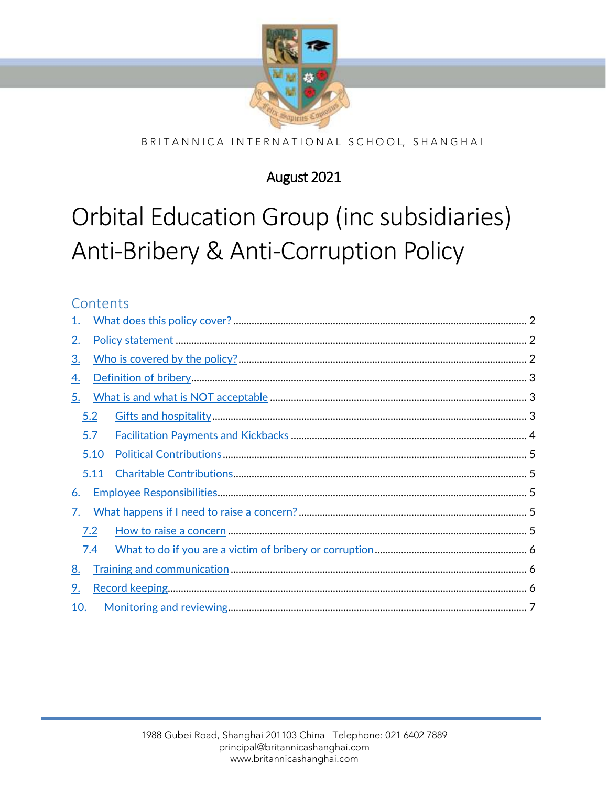

#### BRITANNICA INTERNATIONAL SCHOOL, SHANGHAI

# August 2021

# Orbital Education Group (inc subsidiaries) Anti-Bribery & Anti-Corruption Policy

## Contents

| <u>1.</u> |      |  |  |
|-----------|------|--|--|
| <u>2.</u> |      |  |  |
| <u>3.</u> |      |  |  |
| <u>4.</u> |      |  |  |
| 5.        |      |  |  |
|           | 5.2  |  |  |
|           | 5.7  |  |  |
|           | 5.10 |  |  |
|           | 5.11 |  |  |
| <u>6.</u> |      |  |  |
| 7.        |      |  |  |
|           | 7.2  |  |  |
|           | 7.4  |  |  |
| <u>8.</u> |      |  |  |
| 9.        |      |  |  |
| 10.       |      |  |  |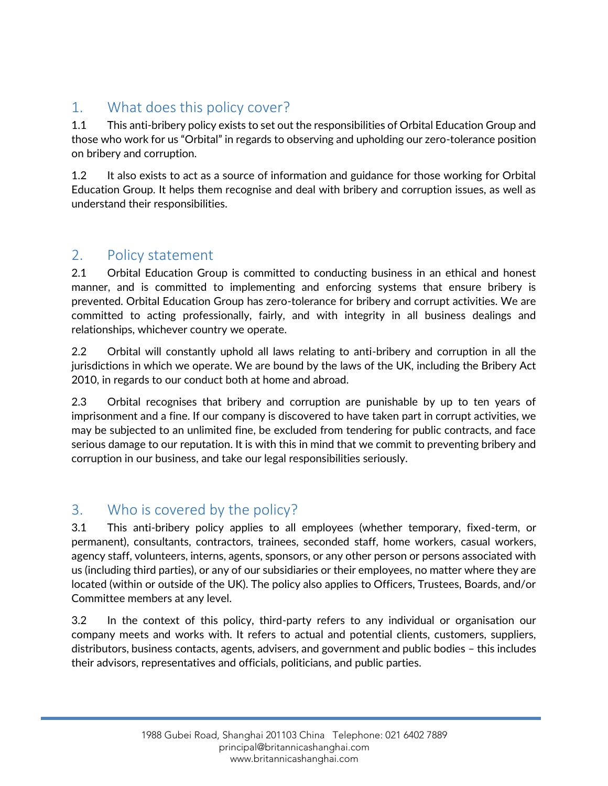# <span id="page-1-0"></span>1. What does this policy cover?

1.1 This anti-bribery policy exists to set out the responsibilities of Orbital Education Group and those who work for us "Orbital" in regards to observing and upholding our zero-tolerance position on bribery and corruption.

1.2 It also exists to act as a source of information and guidance for those working for Orbital Education Group. It helps them recognise and deal with bribery and corruption issues, as well as understand their responsibilities.

## <span id="page-1-1"></span>2. Policy statement

2.1 Orbital Education Group is committed to conducting business in an ethical and honest manner, and is committed to implementing and enforcing systems that ensure bribery is prevented. Orbital Education Group has zero-tolerance for bribery and corrupt activities. We are committed to acting professionally, fairly, and with integrity in all business dealings and relationships, whichever country we operate.

2.2 Orbital will constantly uphold all laws relating to anti-bribery and corruption in all the jurisdictions in which we operate. We are bound by the laws of the UK, including the Bribery Act 2010, in regards to our conduct both at home and abroad.

2.3 Orbital recognises that bribery and corruption are punishable by up to ten years of imprisonment and a fine. If our company is discovered to have taken part in corrupt activities, we may be subjected to an unlimited fine, be excluded from tendering for public contracts, and face serious damage to our reputation. It is with this in mind that we commit to preventing bribery and corruption in our business, and take our legal responsibilities seriously.

## <span id="page-1-2"></span>3. Who is covered by the policy?

3.1 This anti-bribery policy applies to all employees (whether temporary, fixed-term, or permanent), consultants, contractors, trainees, seconded staff, home workers, casual workers, agency staff, volunteers, interns, agents, sponsors, or any other person or persons associated with us (including third parties), or any of our subsidiaries or their employees, no matter where they are located (within or outside of the UK). The policy also applies to Officers, Trustees, Boards, and/or Committee members at any level.

3.2 In the context of this policy, third-party refers to any individual or organisation our company meets and works with. It refers to actual and potential clients, customers, suppliers, distributors, business contacts, agents, advisers, and government and public bodies – this includes their advisors, representatives and officials, politicians, and public parties.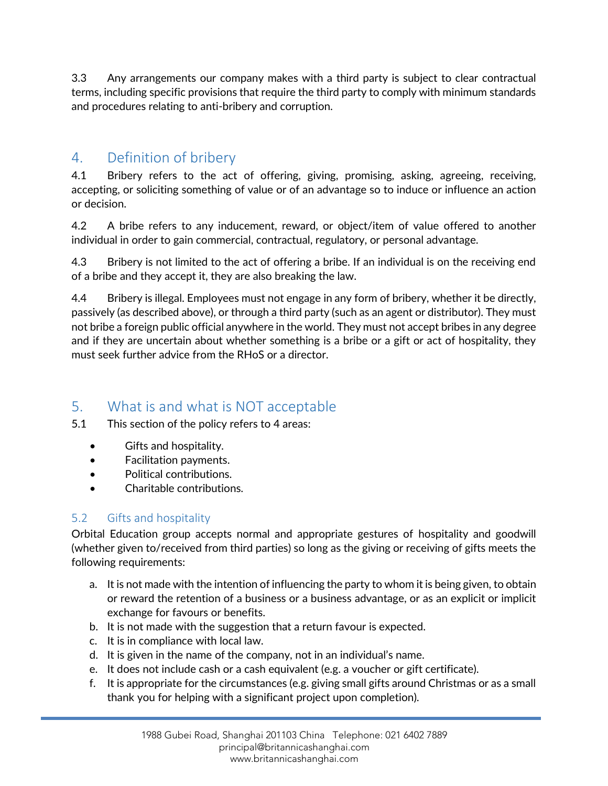3.3 Any arrangements our company makes with a third party is subject to clear contractual terms, including specific provisions that require the third party to comply with minimum standards and procedures relating to anti-bribery and corruption.

## <span id="page-2-0"></span>4. Definition of bribery

4.1 Bribery refers to the act of offering, giving, promising, asking, agreeing, receiving, accepting, or soliciting something of value or of an advantage so to induce or influence an action or decision.

4.2 A bribe refers to any inducement, reward, or object/item of value offered to another individual in order to gain commercial, contractual, regulatory, or personal advantage.

4.3 Bribery is not limited to the act of offering a bribe. If an individual is on the receiving end of a bribe and they accept it, they are also breaking the law.

4.4 Bribery is illegal. Employees must not engage in any form of bribery, whether it be directly, passively (as described above), or through a third party (such as an agent or distributor). They must not bribe a foreign public official anywhere in the world. They must not accept bribes in any degree and if they are uncertain about whether something is a bribe or a gift or act of hospitality, they must seek further advice from the RHoS or a director.

# <span id="page-2-1"></span>5. What is and what is NOT acceptable

- 5.1 This section of the policy refers to 4 areas:
	- Gifts and hospitality.
	- Facilitation payments.
	- Political contributions.
	- Charitable contributions.

### <span id="page-2-2"></span>5.2 Gifts and hospitality

Orbital Education group accepts normal and appropriate gestures of hospitality and goodwill (whether given to/received from third parties) so long as the giving or receiving of gifts meets the following requirements:

- a. It is not made with the intention of influencing the party to whom it is being given, to obtain or reward the retention of a business or a business advantage, or as an explicit or implicit exchange for favours or benefits.
- b. It is not made with the suggestion that a return favour is expected.
- c. It is in compliance with local law.
- d. It is given in the name of the company, not in an individual's name.
- e. It does not include cash or a cash equivalent (e.g. a voucher or gift certificate).
- f. It is appropriate for the circumstances (e.g. giving small gifts around Christmas or as a small thank you for helping with a significant project upon completion).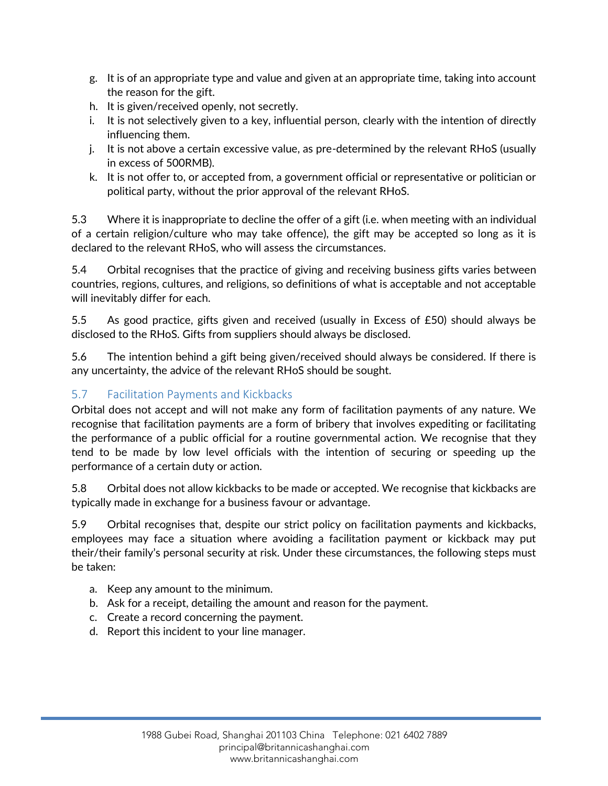- g. It is of an appropriate type and value and given at an appropriate time, taking into account the reason for the gift.
- h. It is given/received openly, not secretly.
- i. It is not selectively given to a key, influential person, clearly with the intention of directly influencing them.
- j. It is not above a certain excessive value, as pre-determined by the relevant RHoS (usually in excess of 500RMB).
- k. It is not offer to, or accepted from, a government official or representative or politician or political party, without the prior approval of the relevant RHoS.

5.3 Where it is inappropriate to decline the offer of a gift (i.e. when meeting with an individual of a certain religion/culture who may take offence), the gift may be accepted so long as it is declared to the relevant RHoS, who will assess the circumstances.

5.4 Orbital recognises that the practice of giving and receiving business gifts varies between countries, regions, cultures, and religions, so definitions of what is acceptable and not acceptable will inevitably differ for each.

5.5 As good practice, gifts given and received (usually in Excess of £50) should always be disclosed to the RHoS. Gifts from suppliers should always be disclosed.

5.6 The intention behind a gift being given/received should always be considered. If there is any uncertainty, the advice of the relevant RHoS should be sought.

#### <span id="page-3-0"></span>5.7 Facilitation Payments and Kickbacks

Orbital does not accept and will not make any form of facilitation payments of any nature. We recognise that facilitation payments are a form of bribery that involves expediting or facilitating the performance of a public official for a routine governmental action. We recognise that they tend to be made by low level officials with the intention of securing or speeding up the performance of a certain duty or action.

5.8 Orbital does not allow kickbacks to be made or accepted. We recognise that kickbacks are typically made in exchange for a business favour or advantage.

5.9 Orbital recognises that, despite our strict policy on facilitation payments and kickbacks, employees may face a situation where avoiding a facilitation payment or kickback may put their/their family's personal security at risk. Under these circumstances, the following steps must be taken:

- a. Keep any amount to the minimum.
- b. Ask for a receipt, detailing the amount and reason for the payment.
- c. Create a record concerning the payment.
- d. Report this incident to your line manager.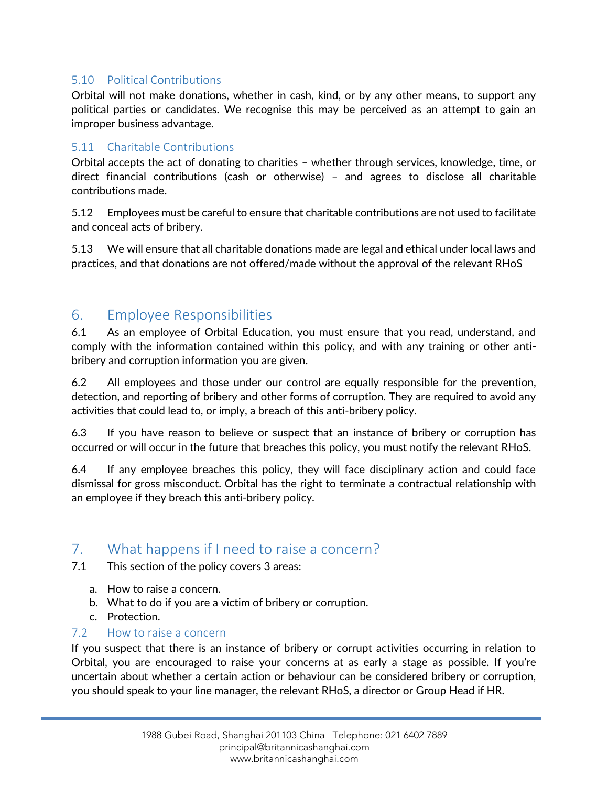#### <span id="page-4-0"></span>5.10 Political Contributions

Orbital will not make donations, whether in cash, kind, or by any other means, to support any political parties or candidates. We recognise this may be perceived as an attempt to gain an improper business advantage.

#### <span id="page-4-1"></span>5.11 Charitable Contributions

Orbital accepts the act of donating to charities – whether through services, knowledge, time, or direct financial contributions (cash or otherwise) – and agrees to disclose all charitable contributions made.

5.12 Employees must be careful to ensure that charitable contributions are not used to facilitate and conceal acts of bribery.

5.13 We will ensure that all charitable donations made are legal and ethical under local laws and practices, and that donations are not offered/made without the approval of the relevant RHoS

## <span id="page-4-2"></span>6. Employee Responsibilities

6.1 As an employee of Orbital Education, you must ensure that you read, understand, and comply with the information contained within this policy, and with any training or other antibribery and corruption information you are given.

6.2 All employees and those under our control are equally responsible for the prevention, detection, and reporting of bribery and other forms of corruption. They are required to avoid any activities that could lead to, or imply, a breach of this anti-bribery policy.

6.3 If you have reason to believe or suspect that an instance of bribery or corruption has occurred or will occur in the future that breaches this policy, you must notify the relevant RHoS.

6.4 If any employee breaches this policy, they will face disciplinary action and could face dismissal for gross misconduct. Orbital has the right to terminate a contractual relationship with an employee if they breach this anti-bribery policy.

## <span id="page-4-3"></span>7. What happens if I need to raise a concern?

7.1 This section of the policy covers 3 areas:

- a. How to raise a concern.
- b. What to do if you are a victim of bribery or corruption.
- c. Protection.

#### <span id="page-4-4"></span>7.2 How to raise a concern

If you suspect that there is an instance of bribery or corrupt activities occurring in relation to Orbital, you are encouraged to raise your concerns at as early a stage as possible. If you're uncertain about whether a certain action or behaviour can be considered bribery or corruption, you should speak to your line manager, the relevant RHoS, a director or Group Head if HR.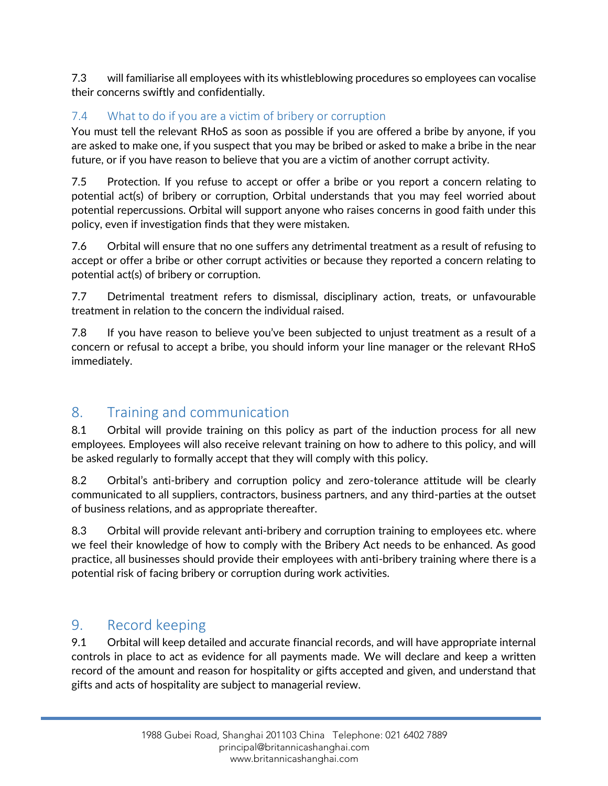7.3 will familiarise all employees with its whistleblowing procedures so employees can vocalise their concerns swiftly and confidentially.

## <span id="page-5-0"></span>7.4 What to do if you are a victim of bribery or corruption

You must tell the relevant RHoS as soon as possible if you are offered a bribe by anyone, if you are asked to make one, if you suspect that you may be bribed or asked to make a bribe in the near future, or if you have reason to believe that you are a victim of another corrupt activity.

7.5 Protection. If you refuse to accept or offer a bribe or you report a concern relating to potential act(s) of bribery or corruption, Orbital understands that you may feel worried about potential repercussions. Orbital will support anyone who raises concerns in good faith under this policy, even if investigation finds that they were mistaken.

7.6 Orbital will ensure that no one suffers any detrimental treatment as a result of refusing to accept or offer a bribe or other corrupt activities or because they reported a concern relating to potential act(s) of bribery or corruption.

7.7 Detrimental treatment refers to dismissal, disciplinary action, treats, or unfavourable treatment in relation to the concern the individual raised.

7.8 If you have reason to believe you've been subjected to unjust treatment as a result of a concern or refusal to accept a bribe, you should inform your line manager or the relevant RHoS immediately.

# <span id="page-5-1"></span>8. Training and communication

8.1 Orbital will provide training on this policy as part of the induction process for all new employees. Employees will also receive relevant training on how to adhere to this policy, and will be asked regularly to formally accept that they will comply with this policy.

8.2 Orbital's anti-bribery and corruption policy and zero-tolerance attitude will be clearly communicated to all suppliers, contractors, business partners, and any third-parties at the outset of business relations, and as appropriate thereafter.

8.3 Orbital will provide relevant anti-bribery and corruption training to employees etc. where we feel their knowledge of how to comply with the Bribery Act needs to be enhanced. As good practice, all businesses should provide their employees with anti-bribery training where there is a potential risk of facing bribery or corruption during work activities.

## <span id="page-5-2"></span>9. Record keeping

9.1 Orbital will keep detailed and accurate financial records, and will have appropriate internal controls in place to act as evidence for all payments made. We will declare and keep a written record of the amount and reason for hospitality or gifts accepted and given, and understand that gifts and acts of hospitality are subject to managerial review.